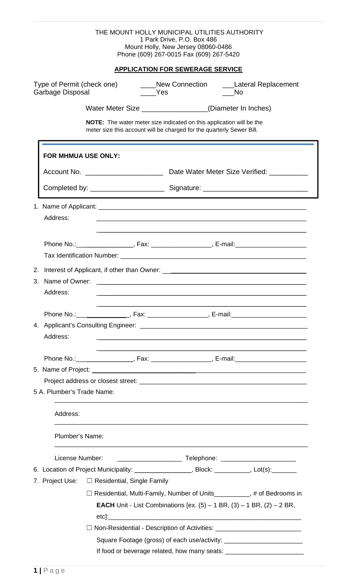|                                                                                                                    | THE MOUNT HOLLY MUNICIPAL UTILITIES AUTHORITY<br>1 Park Drive, P.O. Box 486<br>Mount Holly, New Jersey 08060-0486<br>Phone (609) 267-0015 Fax (609) 267-5420 |  |
|--------------------------------------------------------------------------------------------------------------------|--------------------------------------------------------------------------------------------------------------------------------------------------------------|--|
|                                                                                                                    | <b>APPLICATION FOR SEWERAGE SERVICE</b>                                                                                                                      |  |
| Type of Permit (check one)<br>____New Connection<br>___Lateral Replacement<br>Garbage Disposal<br>Yes<br><b>No</b> |                                                                                                                                                              |  |
|                                                                                                                    | Water Meter Size __________________(Diameter In Inches)                                                                                                      |  |
|                                                                                                                    | <b>NOTE:</b> The water meter size indicated on this application will be the<br>meter size this account will be charged for the quarterly Sewer Bill.         |  |
| <b>FOR MHMUA USE ONLY:</b>                                                                                         |                                                                                                                                                              |  |
|                                                                                                                    |                                                                                                                                                              |  |
|                                                                                                                    |                                                                                                                                                              |  |
| Address:                                                                                                           |                                                                                                                                                              |  |
|                                                                                                                    |                                                                                                                                                              |  |
| 3. Name of Owner:<br>Address:                                                                                      |                                                                                                                                                              |  |
|                                                                                                                    | Phone No.: __________________, Fax: ___________________, E-mail: _______________________                                                                     |  |
| Address:                                                                                                           |                                                                                                                                                              |  |
|                                                                                                                    |                                                                                                                                                              |  |
|                                                                                                                    |                                                                                                                                                              |  |
| 5 A. Plumber's Trade Name:                                                                                         |                                                                                                                                                              |  |
| Address:                                                                                                           |                                                                                                                                                              |  |
| Plumber's Name:                                                                                                    |                                                                                                                                                              |  |
| License Number:                                                                                                    |                                                                                                                                                              |  |
|                                                                                                                    | 6. Location of Project Municipality: _____________________, Block: __________, Lot(s): ________                                                              |  |
|                                                                                                                    | 7. Project Use:<br>$\square$ Residential, Single Family                                                                                                      |  |
|                                                                                                                    | □ Residential, Multi-Family, Number of Units__________, # of Bedrooms in                                                                                     |  |
|                                                                                                                    | <b>EACH</b> Unit - List Combinations [ex. $(5) - 1$ BR, $(3) - 1$ BR, $(2) - 2$ BR,                                                                          |  |
|                                                                                                                    | □ Non-Residential - Description of Activities: _________________________________                                                                             |  |
|                                                                                                                    | Square Footage (gross) of each use/activity: ___________________________________                                                                             |  |
|                                                                                                                    | If food or beverage related, how many seats: ___________                                                                                                     |  |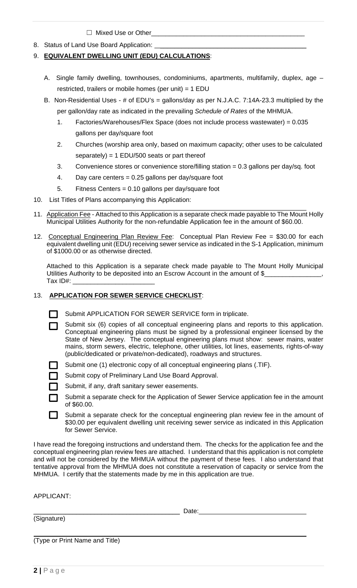$\Box$  Mixed Use or Other

8. Status of Land Use Board Application:

## 9. **EQUIVALENT DWELLING UNIT (EDU) CALCULATIONS**:

- A. Single family dwelling, townhouses, condominiums, apartments, multifamily, duplex, age restricted, trailers or mobile homes (per unit) = 1 EDU
- B. Non-Residential Uses # of EDU's = gallons/day as per N.J.A.C. 7:14A-23.3 multiplied by the per gallon/day rate as indicated in the prevailing *Schedule of Rates* of the MHMUA.
	- 1. Factories/Warehouses/Flex Space (does not include process wastewater) = 0.035 gallons per day/square foot
	- 2. Churches (worship area only, based on maximum capacity; other uses to be calculated separately) =  $1$  EDU/500 seats or part thereof
	- 3. Convenience stores or convenience store/filling station = 0.3 gallons per day/sq. foot
	- 4. Day care centers = 0.25 gallons per day/square foot
	- 5. Fitness Centers = 0.10 gallons per day/square foot
- 10. List Titles of Plans accompanying this Application:
- 11. Application Fee Attached to this Application is a separate check made payable to The Mount Holly Municipal Utilities Authority for the non-refundable Application fee in the amount of \$60.00.
- 12. Conceptual Engineering Plan Review Fee: Conceptual Plan Review Fee = \$30.00 for each equivalent dwelling unit (EDU) receiving sewer service as indicated in the S-1 Application, minimum of \$1000.00 or as otherwise directed.

 Attached to this Application is a separate check made payable to The Mount Holly Municipal Utilities Authority to be deposited into an Escrow Account in the amount of \$\_ Tax ID#: \_\_\_\_\_\_\_\_\_\_\_\_\_\_\_\_\_\_\_\_\_\_\_

## 13. **APPLICATION FOR SEWER SERVICE CHECKLIST**:

- Submit APPLICATION FOR SEWER SERVICE form in triplicate.
- Submit six (6) copies of all conceptual engineering plans and reports to this application.  $\mathbf{L}$ Conceptual engineering plans must be signed by a professional engineer licensed by the State of New Jersey. The conceptual engineering plans must show: sewer mains, water mains, storm sewers, electric, telephone, other utilities, lot lines, easements, rights-of-way (public/dedicated or private/non-dedicated), roadways and structures.
	- Submit one (1) electronic copy of all conceptual engineering plans (.TIF).
	- Submit copy of Preliminary Land Use Board Approval.
	- Submit, if any, draft sanitary sewer easements.
	- Submit a separate check for the Application of Sewer Service application fee in the amount of \$60.00.
- $\sim 10$ Submit a separate check for the conceptual engineering plan review fee in the amount of \$30.00 per equivalent dwelling unit receiving sewer service as indicated in this Application for Sewer Service.

I have read the foregoing instructions and understand them. The checks for the application fee and the conceptual engineering plan review fees are attached. I understand that this application is not complete and will not be considered by the MHMUA without the payment of these fees. I also understand that tentative approval from the MHMUA does not constitute a reservation of capacity or service from the MHMUA. I certify that the statements made by me in this application are true.

APPLICANT:

\_\_\_\_\_\_\_\_\_\_\_\_\_\_\_\_\_\_\_\_\_\_\_\_\_\_\_\_\_\_\_\_\_\_\_\_\_\_\_\_\_ Date: (Signature) (Type or Print Name and Title)